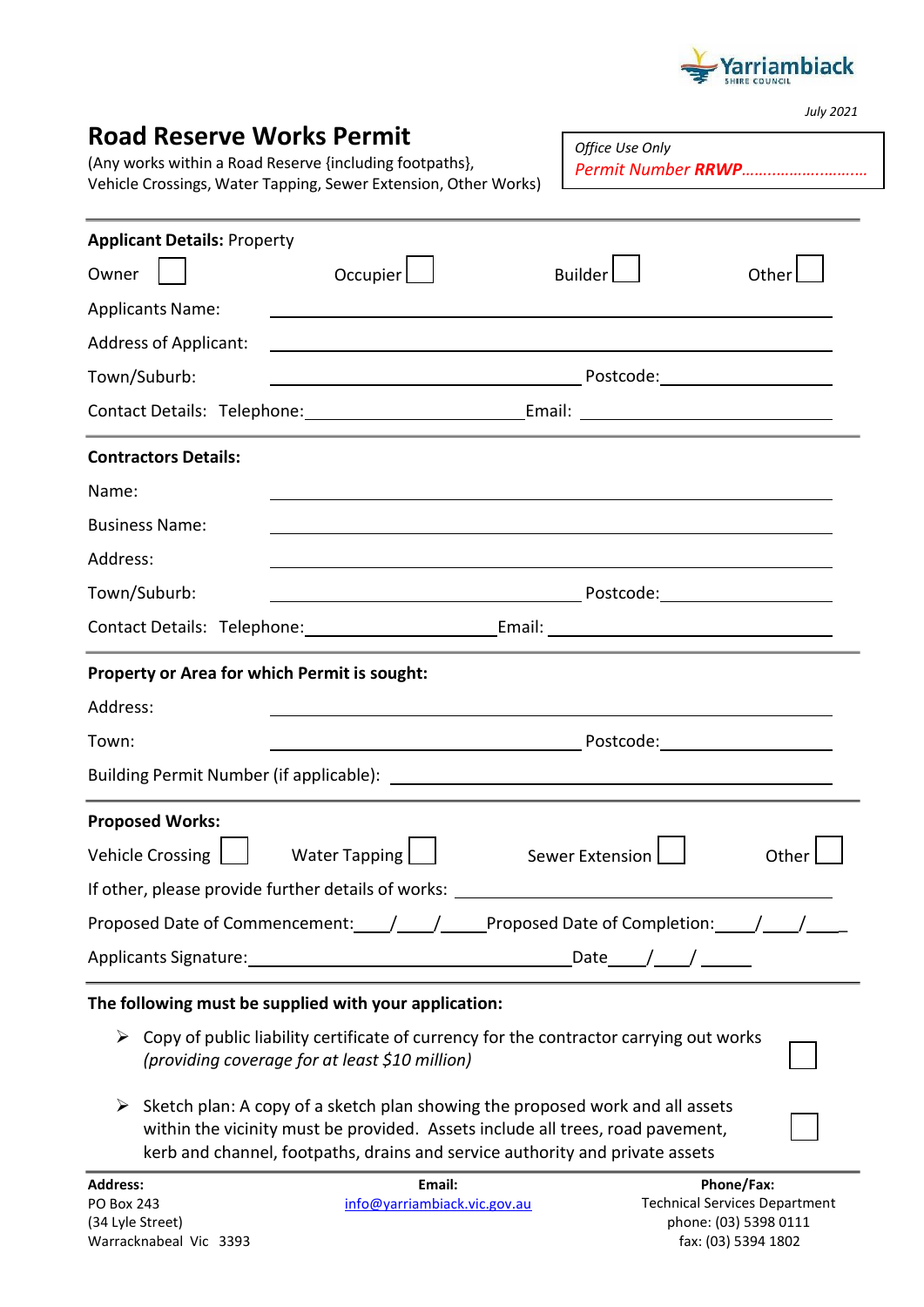

*July 2021*

| <b>Road Reserve Works Permit</b><br>(Any works within a Road Reserve {including footpaths},<br>Vehicle Crossings, Water Tapping, Sewer Extension, Other Works)                                                                                       |                                                           | Office Use Only<br>Permit Number RRWP |       |
|------------------------------------------------------------------------------------------------------------------------------------------------------------------------------------------------------------------------------------------------------|-----------------------------------------------------------|---------------------------------------|-------|
| <b>Applicant Details: Property</b>                                                                                                                                                                                                                   |                                                           |                                       |       |
| Occupier $\lfloor$<br>Owner                                                                                                                                                                                                                          |                                                           | <b>Builder</b>                        | Other |
| <b>Applicants Name:</b>                                                                                                                                                                                                                              | <u> 1989 - Johann Barnett, fransk politiker (d. 1989)</u> |                                       |       |
| <b>Address of Applicant:</b>                                                                                                                                                                                                                         |                                                           |                                       |       |
| Town/Suburb:                                                                                                                                                                                                                                         |                                                           |                                       |       |
| Contact Details: Telephone: Contact Details: Telephone: Contact Details: Contact Details: Contact Details:                                                                                                                                           |                                                           |                                       |       |
| <b>Contractors Details:</b>                                                                                                                                                                                                                          |                                                           |                                       |       |
| Name:                                                                                                                                                                                                                                                |                                                           |                                       |       |
| <b>Business Name:</b>                                                                                                                                                                                                                                |                                                           |                                       |       |
| Address:                                                                                                                                                                                                                                             |                                                           |                                       |       |
| Town/Suburb:                                                                                                                                                                                                                                         |                                                           |                                       |       |
|                                                                                                                                                                                                                                                      |                                                           |                                       |       |
| Property or Area for which Permit is sought:                                                                                                                                                                                                         |                                                           |                                       |       |
| Address:                                                                                                                                                                                                                                             |                                                           |                                       |       |
| Town:                                                                                                                                                                                                                                                |                                                           |                                       |       |
|                                                                                                                                                                                                                                                      |                                                           |                                       |       |
| <b>Proposed Works:</b>                                                                                                                                                                                                                               |                                                           |                                       |       |
| <b>Vehicle Crossing</b><br>Water Tapping                                                                                                                                                                                                             |                                                           | <b>Sewer Extension</b>                | Other |
| If other, please provide further details of works: _____________________________                                                                                                                                                                     |                                                           |                                       |       |
| Proposed Date of Commencement: \[matching \] \[matching \] \[matching \] \[matching \] \[matching \] \[matching \] \[matching \] \[matching \] \[matching \] \[matching \] \[matching \] \[matching \] \[matching \] \[matchin                       |                                                           |                                       |       |
|                                                                                                                                                                                                                                                      |                                                           |                                       |       |
| The following must be supplied with your application:                                                                                                                                                                                                |                                                           |                                       |       |
| Copy of public liability certificate of currency for the contractor carrying out works<br>➤<br>(providing coverage for at least \$10 million)                                                                                                        |                                                           |                                       |       |
| Sketch plan: A copy of a sketch plan showing the proposed work and all assets<br>➤<br>within the vicinity must be provided. Assets include all trees, road pavement,<br>kerb and channel, footpaths, drains and service authority and private assets |                                                           |                                       |       |

**Email:** [info@yarriambiack.vic.gov.au](mailto:info@yarriambiack.vic.gov.au)

**Phone/Fax:** Technical Services Department phone: (03) 5398 0111 fax: (03) 5394 1802